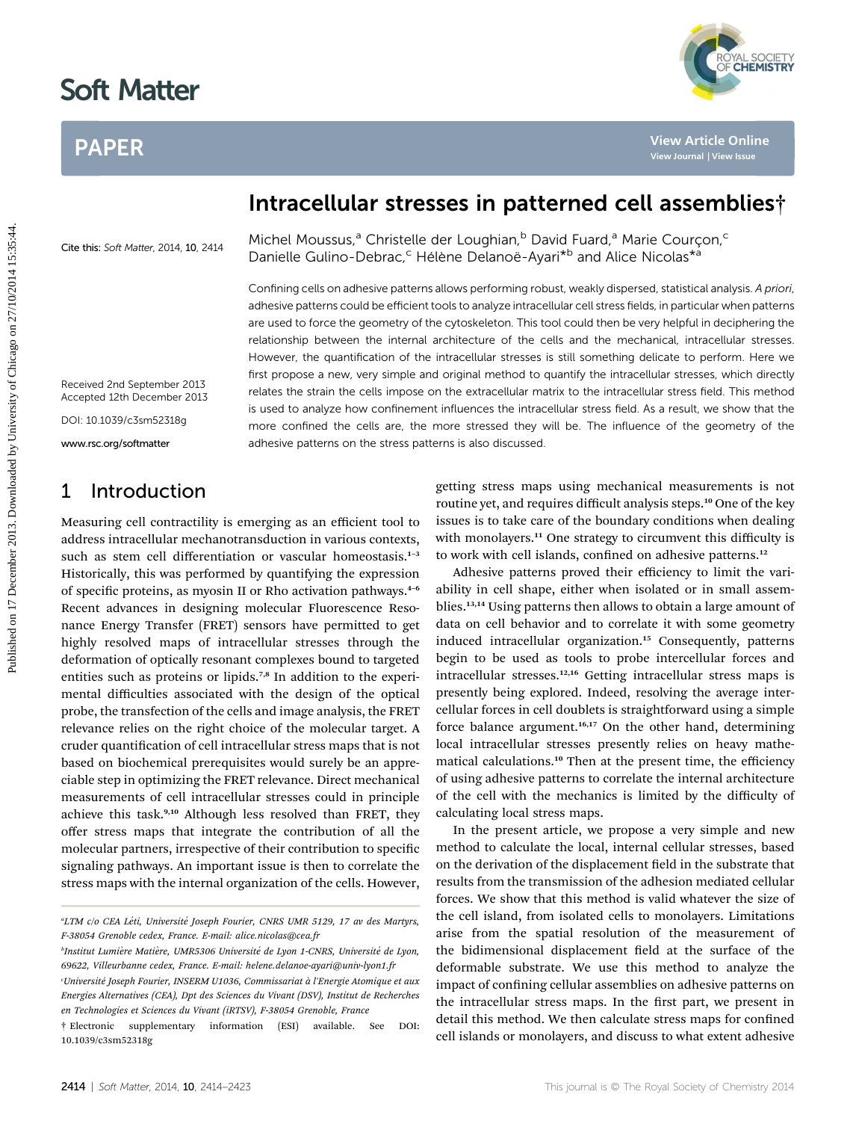# PAPER



# Intracellular stresses in patterned cell assemblies†

Cite this: Soft Matter, 2014, 10, 2414

Michel Moussus,<sup>a</sup> Christelle der Loughian,<sup>b</sup> David Fuard,<sup>a</sup> Marie Courçon,<sup>c</sup> Danielle Gulino-Debrac,<sup>c</sup> Hélène Delanoë-Ayari<sup>\*b</sup> and Alice Nicolas<sup>\*a</sup>

Confining cells on adhesive patterns allows performing robust, weakly dispersed, statistical analysis. A priori, adhesive patterns could be efficient tools to analyze intracellular cell stress fields, in particular when patterns are used to force the geometry of the cytoskeleton. This tool could then be very helpful in deciphering the relationship between the internal architecture of the cells and the mechanical, intracellular stresses. However, the quantification of the intracellular stresses is still something delicate to perform. Here we first propose a new, very simple and original method to quantify the intracellular stresses, which directly relates the strain the cells impose on the extracellular matrix to the intracellular stress field. This method is used to analyze how confinement influences the intracellular stress field. As a result, we show that the more confined the cells are, the more stressed they will be. The influence of the geometry of the adhesive patterns on the stress patterns is also discussed. Published on 17 December 2013. Downloaded by University of Chicago on 27/10/2014 15:35:44. **[View Article Online](http://dx.doi.org/10.1039/c3sm52318g) [View Journal](http://pubs.rsc.org/en/journals/journal/SM) [| View Issue](http://pubs.rsc.org/en/journals/journal/SM?issueid=SM010014)**

Received 2nd September 2013 Accepted 12th December 2013

DOI: 10.1039/c3sm52318g

www.rsc.org/softmatter

### 1 Introduction

Measuring cell contractility is emerging as an efficient tool to address intracellular mechanotransduction in various contexts, such as stem cell differentiation or vascular homeostasis.<sup>1-3</sup> Historically, this was performed by quantifying the expression of specific proteins, as myosin II or Rho activation pathways.<sup>4-6</sup> Recent advances in designing molecular Fluorescence Resonance Energy Transfer (FRET) sensors have permitted to get highly resolved maps of intracellular stresses through the deformation of optically resonant complexes bound to targeted entities such as proteins or lipids.<sup>7,8</sup> In addition to the experimental difficulties associated with the design of the optical probe, the transfection of the cells and image analysis, the FRET relevance relies on the right choice of the molecular target. A cruder quantification of cell intracellular stress maps that is not based on biochemical prerequisites would surely be an appreciable step in optimizing the FRET relevance. Direct mechanical measurements of cell intracellular stresses could in principle achieve this task.<sup>9,10</sup> Although less resolved than FRET, they offer stress maps that integrate the contribution of all the molecular partners, irrespective of their contribution to specific signaling pathways. An important issue is then to correlate the stress maps with the internal organization of the cells. However, getting stress maps using mechanical measurements is not routine yet, and requires difficult analysis steps.<sup>10</sup> One of the key issues is to take care of the boundary conditions when dealing with monolayers.<sup>11</sup> One strategy to circumvent this difficulty is to work with cell islands, confined on adhesive patterns.<sup>12</sup>

Adhesive patterns proved their efficiency to limit the variability in cell shape, either when isolated or in small assemblies.<sup>13,14</sup> Using patterns then allows to obtain a large amount of data on cell behavior and to correlate it with some geometry induced intracellular organization.<sup>15</sup> Consequently, patterns begin to be used as tools to probe intercellular forces and intracellular stresses.12,16 Getting intracellular stress maps is presently being explored. Indeed, resolving the average intercellular forces in cell doublets is straightforward using a simple force balance argument.<sup>16,17</sup> On the other hand, determining local intracellular stresses presently relies on heavy mathematical calculations.<sup>10</sup> Then at the present time, the efficiency of using adhesive patterns to correlate the internal architecture of the cell with the mechanics is limited by the difficulty of calculating local stress maps.

In the present article, we propose a very simple and new method to calculate the local, internal cellular stresses, based on the derivation of the displacement field in the substrate that results from the transmission of the adhesion mediated cellular forces. We show that this method is valid whatever the size of the cell island, from isolated cells to monolayers. Limitations arise from the spatial resolution of the measurement of the bidimensional displacement field at the surface of the deformable substrate. We use this method to analyze the impact of confining cellular assemblies on adhesive patterns on the intracellular stress maps. In the first part, we present in detail this method. We then calculate stress maps for confined cell islands or monolayers, and discuss to what extent adhesive

<sup>&</sup>quot;LTM c/o CEA Léti, Université Joseph Fourier, CNRS UMR 5129, 17 av des Martyrs, F-38054 Grenoble cedex, France. E-mail: alice.nicolas@cea.fr

<sup>&</sup>lt;sup>b</sup>Institut Lumière Matière, UMR5306 Université de Lyon 1-CNRS, Université de Lyon, 69622, Villeurbanne cedex, France. E-mail: helene.delanoe-ayari@univ-lyon1.fr Université Joseph Fourier, INSERM U1036, Commissariat à l'Energie Atomique et aux <sup>.</sup> Energies Alternatives (CEA), Dpt des Sciences du Vivant (DSV), Institut de Recherches

en Technologies et Sciences du Vivant (iRTSV), F-38054 Grenoble, France † Electronic supplementary information (ESI) available. See DOI:

<sup>10.1039/</sup>c3sm52318g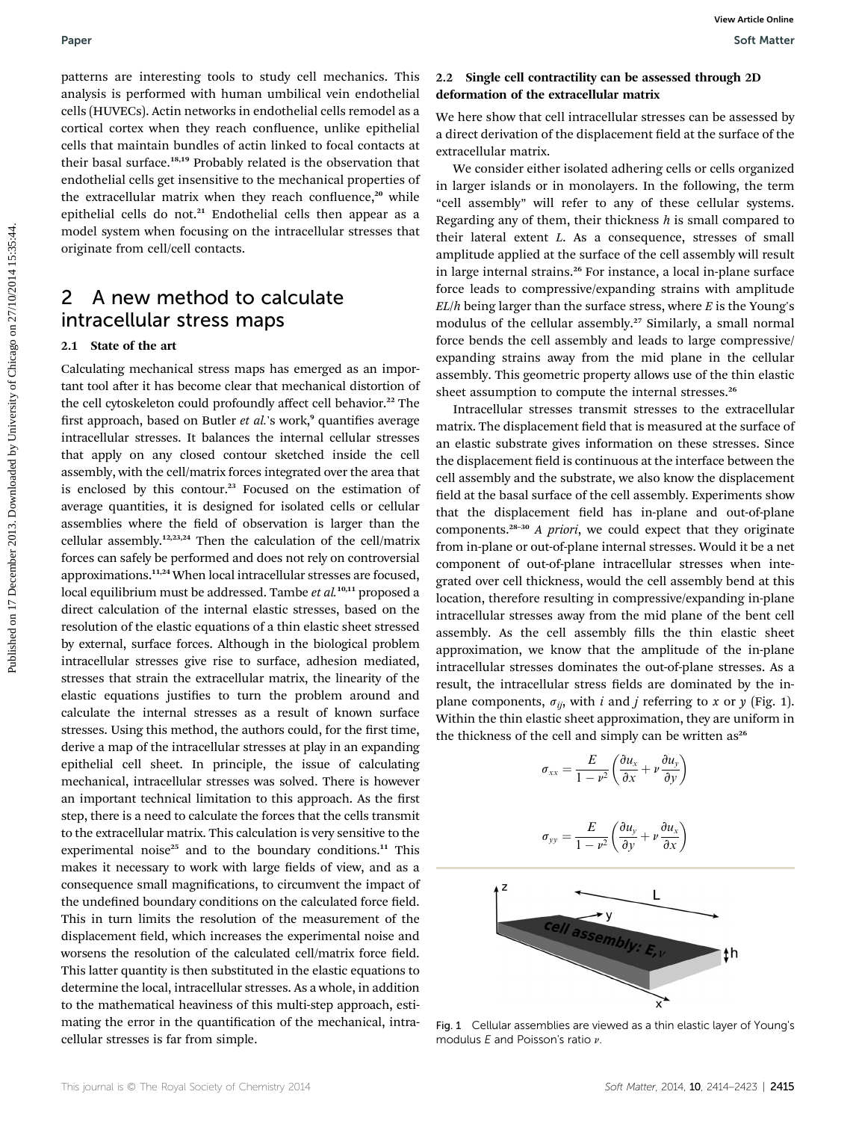patterns are interesting tools to study cell mechanics. This analysis is performed with human umbilical vein endothelial cells (HUVECs). Actin networks in endothelial cells remodel as a cortical cortex when they reach confluence, unlike epithelial cells that maintain bundles of actin linked to focal contacts at their basal surface.18,19 Probably related is the observation that endothelial cells get insensitive to the mechanical properties of the extracellular matrix when they reach confluence,<sup>20</sup> while epithelial cells do not.<sup>21</sup> Endothelial cells then appear as a model system when focusing on the intracellular stresses that originate from cell/cell contacts.

# 2 A new method to calculate intracellular stress maps

### 2.1 State of the art

Calculating mechanical stress maps has emerged as an important tool after it has become clear that mechanical distortion of the cell cytoskeleton could profoundly affect cell behavior.<sup>22</sup> The first approach, based on Butler et al.'s work, $9$  quantifies average intracellular stresses. It balances the internal cellular stresses that apply on any closed contour sketched inside the cell assembly, with the cell/matrix forces integrated over the area that is enclosed by this contour.<sup>23</sup> Focused on the estimation of average quantities, it is designed for isolated cells or cellular assemblies where the field of observation is larger than the cellular assembly.12,23,24 Then the calculation of the cell/matrix forces can safely be performed and does not rely on controversial approximations.11,24 When local intracellular stresses are focused, local equilibrium must be addressed. Tambe et al.<sup>10,11</sup> proposed a direct calculation of the internal elastic stresses, based on the resolution of the elastic equations of a thin elastic sheet stressed by external, surface forces. Although in the biological problem intracellular stresses give rise to surface, adhesion mediated, stresses that strain the extracellular matrix, the linearity of the elastic equations justifies to turn the problem around and calculate the internal stresses as a result of known surface stresses. Using this method, the authors could, for the first time, derive a map of the intracellular stresses at play in an expanding epithelial cell sheet. In principle, the issue of calculating mechanical, intracellular stresses was solved. There is however an important technical limitation to this approach. As the first step, there is a need to calculate the forces that the cells transmit to the extracellular matrix. This calculation is very sensitive to the experimental noise<sup>25</sup> and to the boundary conditions.<sup>11</sup> This makes it necessary to work with large fields of view, and as a consequence small magnifications, to circumvent the impact of the undefined boundary conditions on the calculated force field. This in turn limits the resolution of the measurement of the displacement field, which increases the experimental noise and worsens the resolution of the calculated cell/matrix force field. This latter quantity is then substituted in the elastic equations to determine the local, intracellular stresses. As a whole, in addition to the mathematical heaviness of this multi-step approach, estimating the error in the quantification of the mechanical, intracellular stresses is far from simple. Paper<br>
Published on 17 December 2013. Downloaded by the contract of the effective material of the contract of the contract of the contract of the contract of the contract of the contract of the contract of the contract of

### 2.2 Single cell contractility can be assessed through 2D deformation of the extracellular matrix

We here show that cell intracellular stresses can be assessed by a direct derivation of the displacement field at the surface of the extracellular matrix.

We consider either isolated adhering cells or cells organized in larger islands or in monolayers. In the following, the term "cell assembly" will refer to any of these cellular systems. Regarding any of them, their thickness  $h$  is small compared to their lateral extent L. As a consequence, stresses of small amplitude applied at the surface of the cell assembly will result in large internal strains.<sup>26</sup> For instance, a local in-plane surface force leads to compressive/expanding strains with amplitude  $EL/h$  being larger than the surface stress, where  $E$  is the Young's modulus of the cellular assembly.<sup>27</sup> Similarly, a small normal force bends the cell assembly and leads to large compressive/ expanding strains away from the mid plane in the cellular assembly. This geometric property allows use of the thin elastic sheet assumption to compute the internal stresses.<sup>26</sup>

Intracellular stresses transmit stresses to the extracellular matrix. The displacement field that is measured at the surface of an elastic substrate gives information on these stresses. Since the displacement field is continuous at the interface between the cell assembly and the substrate, we also know the displacement field at the basal surface of the cell assembly. Experiments show that the displacement field has in-plane and out-of-plane components.<sup>28-30</sup> A priori, we could expect that they originate from in-plane or out-of-plane internal stresses. Would it be a net component of out-of-plane intracellular stresses when integrated over cell thickness, would the cell assembly bend at this location, therefore resulting in compressive/expanding in-plane intracellular stresses away from the mid plane of the bent cell assembly. As the cell assembly fills the thin elastic sheet approximation, we know that the amplitude of the in-plane intracellular stresses dominates the out-of-plane stresses. As a result, the intracellular stress fields are dominated by the inplane components,  $\sigma_{ii}$ , with i and j referring to x or y (Fig. 1). Within the thin elastic sheet approximation, they are uniform in the thickness of the cell and simply can be written as<sup>26</sup>

$$
\sigma_{xx} = \frac{E}{1 - \nu^2} \left( \frac{\partial u_x}{\partial x} + \nu \frac{\partial u_y}{\partial y} \right)
$$

$$
\sigma_{yy} = \frac{E}{1 - \nu^2} \left( \frac{\partial u_y}{\partial y} + \nu \frac{\partial u_x}{\partial x} \right)
$$



Fig. 1 Cellular assemblies are viewed as a thin elastic layer of Young's modulus  $E$  and Poisson's ratio  $\nu$ .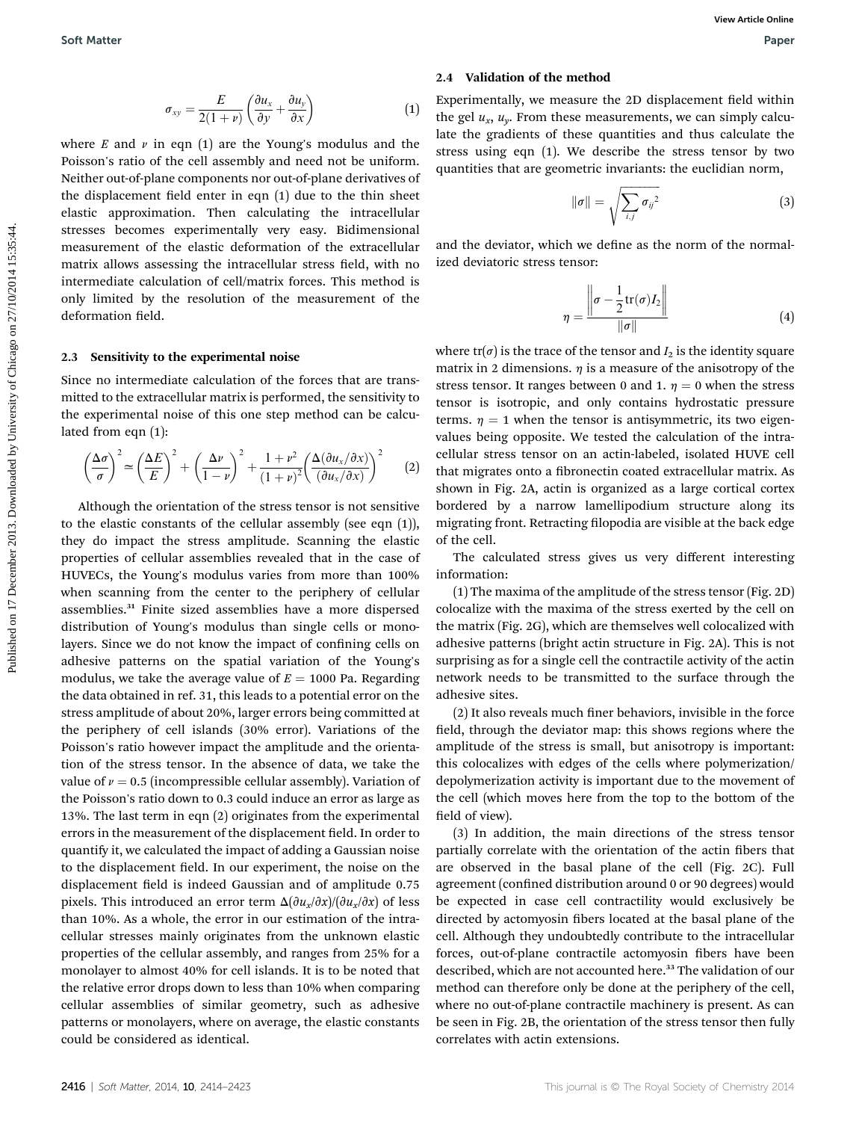$$
\sigma_{xy} = \frac{E}{2(1+\nu)} \left( \frac{\partial u_x}{\partial y} + \frac{\partial u_y}{\partial x} \right) \tag{1}
$$

where  $E$  and  $\nu$  in eqn (1) are the Young's modulus and the Poisson's ratio of the cell assembly and need not be uniform. Neither out-of-plane components nor out-of-plane derivatives of the displacement field enter in eqn  $(1)$  due to the thin sheet elastic approximation. Then calculating the intracellular stresses becomes experimentally very easy. Bidimensional measurement of the elastic deformation of the extracellular matrix allows assessing the intracellular stress field, with no intermediate calculation of cell/matrix forces. This method is only limited by the resolution of the measurement of the deformation field.

#### 2.3 Sensitivity to the experimental noise

Since no intermediate calculation of the forces that are transmitted to the extracellular matrix is performed, the sensitivity to the experimental noise of this one step method can be calculated from eqn (1):

$$
\left(\frac{\Delta\sigma}{\sigma}\right)^2 \simeq \left(\frac{\Delta E}{E}\right)^2 + \left(\frac{\Delta \nu}{1-\nu}\right)^2 + \frac{1+\nu^2}{(1+\nu)^2} \left(\frac{\Delta(\partial u_x/\partial x)}{(\partial u_x/\partial x)}\right)^2 \tag{2}
$$

Although the orientation of the stress tensor is not sensitive to the elastic constants of the cellular assembly (see eqn (1)), they do impact the stress amplitude. Scanning the elastic properties of cellular assemblies revealed that in the case of HUVECs, the Young's modulus varies from more than 100% when scanning from the center to the periphery of cellular assemblies.<sup>31</sup> Finite sized assemblies have a more dispersed distribution of Young's modulus than single cells or monolayers. Since we do not know the impact of confining cells on adhesive patterns on the spatial variation of the Young's modulus, we take the average value of  $E = 1000$  Pa. Regarding the data obtained in ref. 31, this leads to a potential error on the stress amplitude of about 20%, larger errors being committed at the periphery of cell islands (30% error). Variations of the Poisson's ratio however impact the amplitude and the orientation of the stress tensor. In the absence of data, we take the value of  $\nu = 0.5$  (incompressible cellular assembly). Variation of the Poisson's ratio down to 0.3 could induce an error as large as 13%. The last term in eqn (2) originates from the experimental errors in the measurement of the displacement field. In order to quantify it, we calculated the impact of adding a Gaussian noise to the displacement field. In our experiment, the noise on the displacement field is indeed Gaussian and of amplitude 0.75 pixels. This introduced an error term  $\Delta(\partial u_x/\partial x)/(\partial u_x/\partial x)$  of less than 10%. As a whole, the error in our estimation of the intracellular stresses mainly originates from the unknown elastic properties of the cellular assembly, and ranges from 25% for a monolayer to almost 40% for cell islands. It is to be noted that the relative error drops down to less than 10% when comparing cellular assemblies of similar geometry, such as adhesive patterns or monolayers, where on average, the elastic constants could be considered as identical.

#### 2.4 Validation of the method

Experimentally, we measure the 2D displacement field within the gel  $u_x$ ,  $u_y$ . From these measurements, we can simply calculate the gradients of these quantities and thus calculate the stress using eqn (1). We describe the stress tensor by two quantities that are geometric invariants: the euclidian norm,

$$
\|\sigma\| = \sqrt{\sum_{i,j} \sigma_{ij}^2} \tag{3}
$$

and the deviator, which we define as the norm of the normalized deviatoric stress tensor:

$$
\eta = \frac{\left\| \sigma - \frac{1}{2} \text{tr}(\sigma) I_2 \right\|}{\|\sigma\|} \tag{4}
$$

where  $tr(\sigma)$  is the trace of the tensor and  $I_2$  is the identity square matrix in 2 dimensions.  $\eta$  is a measure of the anisotropy of the stress tensor. It ranges between 0 and 1.  $\eta = 0$  when the stress tensor is isotropic, and only contains hydrostatic pressure terms.  $\eta = 1$  when the tensor is antisymmetric, its two eigenvalues being opposite. We tested the calculation of the intracellular stress tensor on an actin-labeled, isolated HUVE cell that migrates onto a fibronectin coated extracellular matrix. As shown in Fig. 2A, actin is organized as a large cortical cortex bordered by a narrow lamellipodium structure along its migrating front. Retracting filopodia are visible at the back edge of the cell. Soft Matter Wave Methods on  $\sigma_y = \frac{F}{2(1+r)} \left( \frac{3a_c}{4r} + \frac{3a_c}{6r} \right)$  (1) the register on 17 December 20 displacement flot with required to the company modulus consider the the chicago on 2013. Downloaded by University

The calculated stress gives us very different interesting information:

(1) The maxima of the amplitude of the stress tensor (Fig. 2D) colocalize with the maxima of the stress exerted by the cell on the matrix (Fig. 2G), which are themselves well colocalized with adhesive patterns (bright actin structure in Fig. 2A). This is not surprising as for a single cell the contractile activity of the actin network needs to be transmitted to the surface through the adhesive sites.

 $(2)$  It also reveals much finer behaviors, invisible in the force field, through the deviator map: this shows regions where the amplitude of the stress is small, but anisotropy is important: this colocalizes with edges of the cells where polymerization/ depolymerization activity is important due to the movement of the cell (which moves here from the top to the bottom of the field of view).

(3) In addition, the main directions of the stress tensor partially correlate with the orientation of the actin fibers that are observed in the basal plane of the cell (Fig. 2C). Full agreement (confined distribution around 0 or 90 degrees) would be expected in case cell contractility would exclusively be directed by actomyosin fibers located at the basal plane of the cell. Although they undoubtedly contribute to the intracellular forces, out-of-plane contractile actomyosin fibers have been described, which are not accounted here.<sup>33</sup> The validation of our method can therefore only be done at the periphery of the cell, where no out-of-plane contractile machinery is present. As can be seen in Fig. 2B, the orientation of the stress tensor then fully correlates with actin extensions.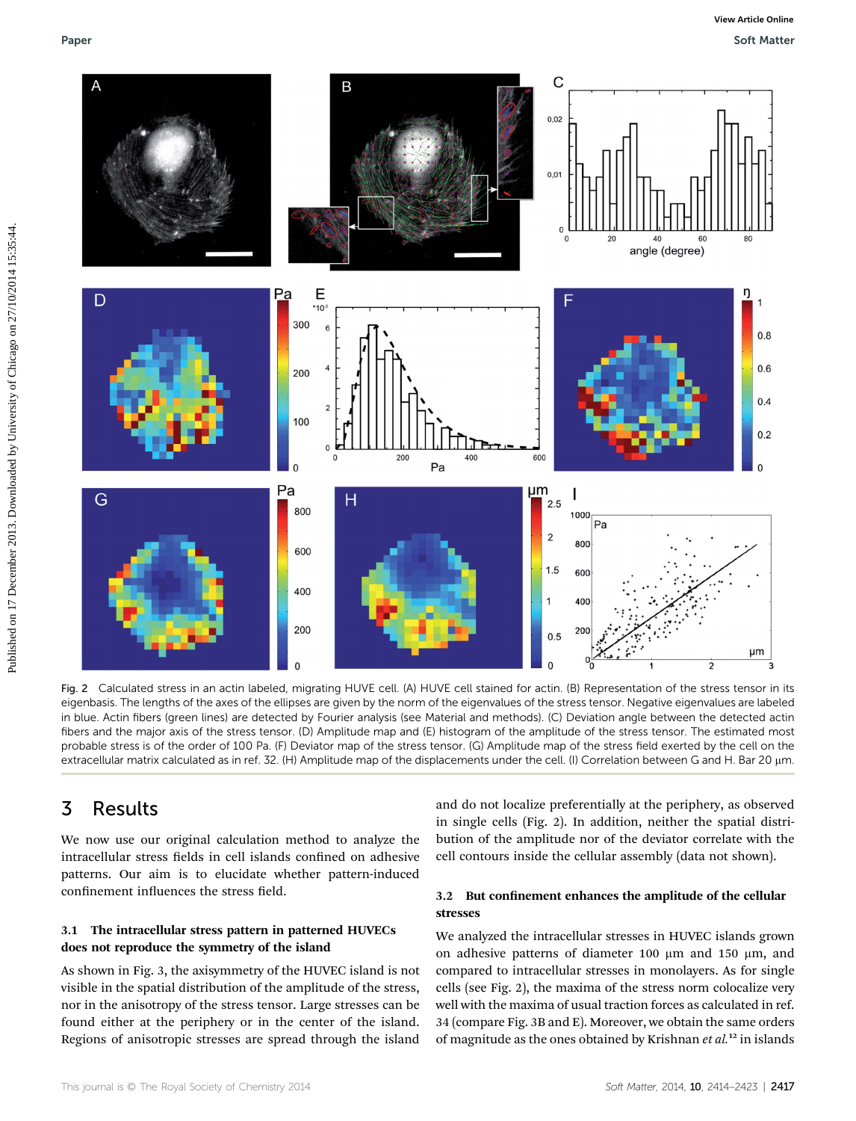

Fig. 2 Calculated stress in an actin labeled, migrating HUVE cell. (A) HUVE cell stained for actin. (B) Representation of the stress tensor in its eigenbasis. The lengths of the axes of the ellipses are given by the norm of the eigenvalues of the stress tensor. Negative eigenvalues are labeled in blue. Actin fibers (green lines) are detected by Fourier analysis (see Material and methods). (C) Deviation angle between the detected actin fibers and the major axis of the stress tensor. (D) Amplitude map and (E) histogram of the amplitude of the stress tensor. The estimated most probable stress is of the order of 100 Pa. (F) Deviator map of the stress tensor. (G) Amplitude map of the stress field exerted by the cell on the extracellular matrix calculated as in ref. 32. (H) Amplitude map of the displacements under the cell. (I) Correlation between G and H. Bar 20 µm.

## 3 Results

We now use our original calculation method to analyze the intracellular stress fields in cell islands confined on adhesive patterns. Our aim is to elucidate whether pattern-induced confinement influences the stress field.

### 3.1 The intracellular stress pattern in patterned HUVECs does not reproduce the symmetry of the island

As shown in Fig. 3, the axisymmetry of the HUVEC island is not visible in the spatial distribution of the amplitude of the stress, nor in the anisotropy of the stress tensor. Large stresses can be found either at the periphery or in the center of the island. Regions of anisotropic stresses are spread through the island

and do not localize preferentially at the periphery, as observed in single cells (Fig. 2). In addition, neither the spatial distribution of the amplitude nor of the deviator correlate with the cell contours inside the cellular assembly (data not shown).

### 3.2 But confinement enhances the amplitude of the cellular stresses

We analyzed the intracellular stresses in HUVEC islands grown on adhesive patterns of diameter 100  $\mu$ m and 150  $\mu$ m, and compared to intracellular stresses in monolayers. As for single cells (see Fig. 2), the maxima of the stress norm colocalize very well with the maxima of usual traction forces as calculated in ref. 34 (compare Fig. 3B and E). Moreover, we obtain the same orders of magnitude as the ones obtained by Krishnan  $et$   $al$ .<sup>12</sup> in islands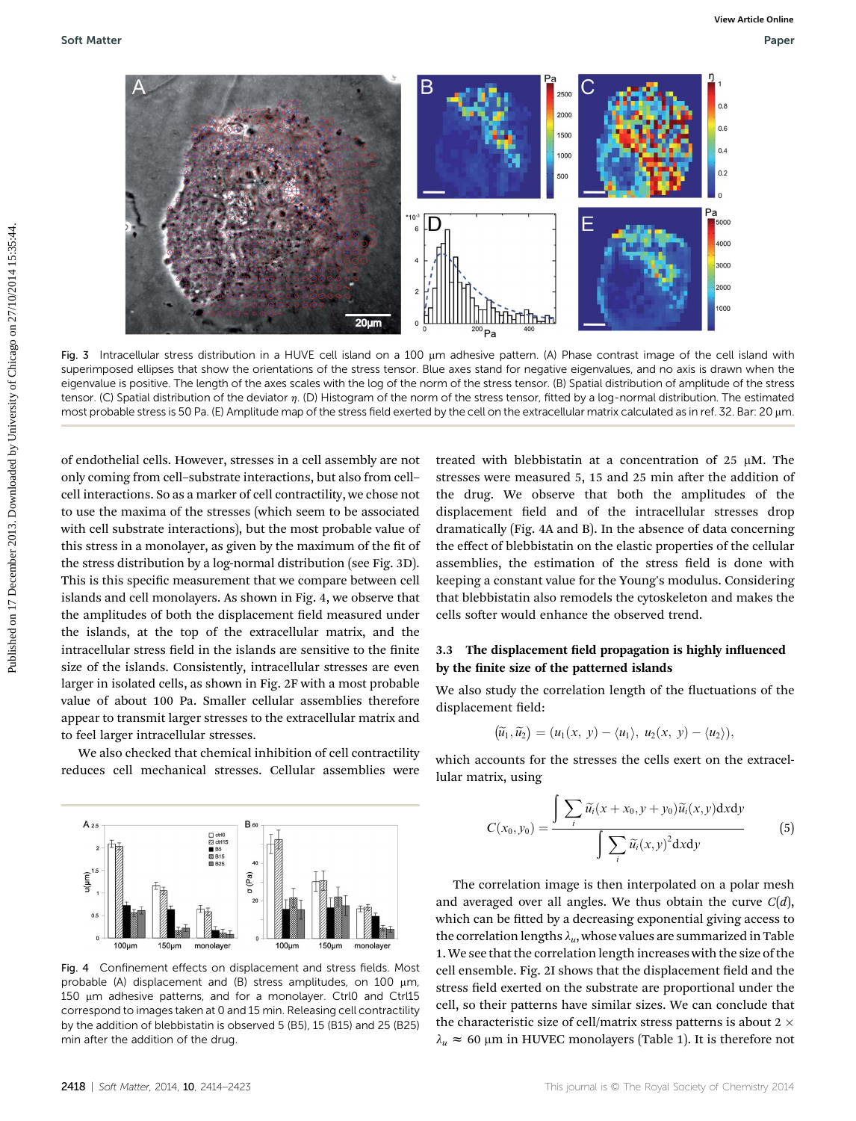

Fig. 3 Intracellular stress distribution in a HUVE cell island on a 100 µm adhesive pattern. (A) Phase contrast image of the cell island with superimposed ellipses that show the orientations of the stress tensor. Blue axes stand for negative eigenvalues, and no axis is drawn when the eigenvalue is positive. The length of the axes scales with the log of the norm of the stress tensor. (B) Spatial distribution of amplitude of the stress tensor. (C) Spatial distribution of the deviator  $\eta$ . (D) Histogram of the norm of the stress tensor, fitted by a log-normal distribution. The estimated most probable stress is 50 Pa. (E) Amplitude map of the stress field exerted by the cell on the extracellular matrix calculated as in ref. 32. Bar: 20 µm.

of endothelial cells. However, stresses in a cell assembly are not only coming from cell–substrate interactions, but also from cell– cell interactions. So as a marker of cell contractility, we chose not to use the maxima of the stresses (which seem to be associated with cell substrate interactions), but the most probable value of this stress in a monolayer, as given by the maximum of the fit of the stress distribution by a log-normal distribution (see Fig. 3D). This is this specific measurement that we compare between cell islands and cell monolayers. As shown in Fig. 4, we observe that the amplitudes of both the displacement field measured under the islands, at the top of the extracellular matrix, and the intracellular stress field in the islands are sensitive to the finite size of the islands. Consistently, intracellular stresses are even larger in isolated cells, as shown in Fig. 2F with a most probable value of about 100 Pa. Smaller cellular assemblies therefore appear to transmit larger stresses to the extracellular matrix and to feel larger intracellular stresses.

We also checked that chemical inhibition of cell contractility reduces cell mechanical stresses. Cellular assemblies were



### 3.3 The displacement field propagation is highly influenced by the finite size of the patterned islands

We also study the correlation length of the fluctuations of the displacement field:

$$
(\widetilde{u}_1,\widetilde{u}_2)=(u_1(x, y)-\langle u_1\rangle, u_2(x, y)-\langle u_2\rangle),
$$

which accounts for the stresses the cells exert on the extracellular matrix, using

$$
C(x_0, y_0) = \frac{\int \sum_i \widetilde{u}_i(x + x_0, y + y_0) \widetilde{u}_i(x, y) dxdy}{\int \sum_i \widetilde{u}_i(x, y)^2 dxdy}
$$
(5)

The correlation image is then interpolated on a polar mesh and averaged over all angles. We thus obtain the curve  $C(d)$ , which can be fitted by a decreasing exponential giving access to the correlation lengths  $\lambda_u$ , whose values are summarized in Table 1. We see that the correlation length increases with the size of the cell ensemble. Fig. 2I shows that the displacement field and the stress field exerted on the substrate are proportional under the cell, so their patterns have similar sizes. We can conclude that the characteristic size of cell/matrix stress patterns is about 2  $\times$  $\lambda_u \approx 60$  µm in HUVEC monolayers (Table 1). It is therefore not



Fig. 4 Confinement effects on displacement and stress fields. Most probable (A) displacement and (B) stress amplitudes, on 100  $\mu$ m, 150 um adhesive patterns, and for a monolayer. Ctrl0 and Ctrl15 correspond to images taken at 0 and 15 min. Releasing cell contractility by the addition of blebbistatin is observed 5 (B5), 15 (B15) and 25 (B25) min after the addition of the drug.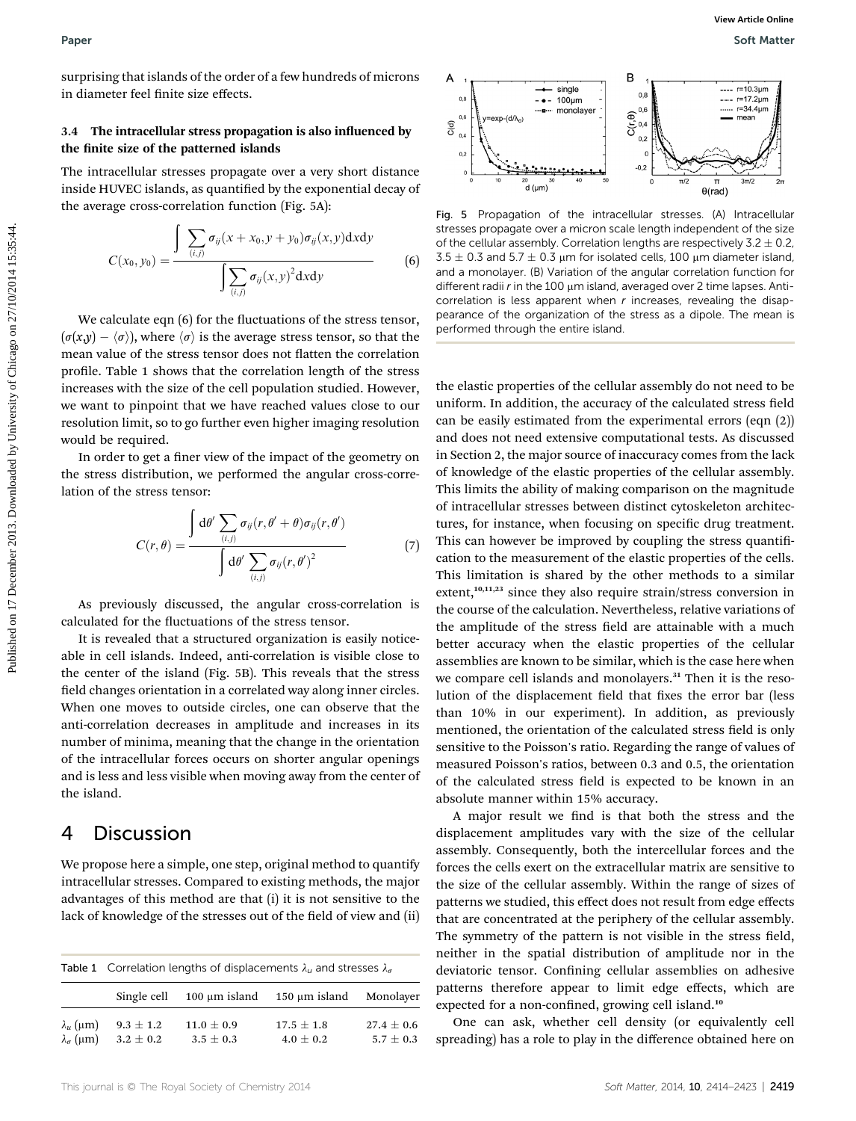surprising that islands of the order of a few hundreds of microns in diameter feel finite size effects.

### 3.4 The intracellular stress propagation is also influenced by the finite size of the patterned islands

The intracellular stresses propagate over a very short distance inside HUVEC islands, as quantified by the exponential decay of the average cross-correlation function (Fig. 5A):

$$
C(x_0, y_0) = \frac{\int \sum_{(i,j)} \sigma_{ij}(x + x_0, y + y_0) \sigma_{ij}(x, y) dxdy}{\int \sum_{(i,j)} \sigma_{ij}(x, y)^2 dxdy}
$$
(6)

We calculate eqn  $(6)$  for the fluctuations of the stress tensor,  $(\sigma(x,y) - \langle \sigma \rangle)$ , where  $\langle \sigma \rangle$  is the average stress tensor, so that the mean value of the stress tensor does not flatten the correlation profile. Table 1 shows that the correlation length of the stress increases with the size of the cell population studied. However, we want to pinpoint that we have reached values close to our resolution limit, so to go further even higher imaging resolution would be required.

In order to get a finer view of the impact of the geometry on the stress distribution, we performed the angular cross-correlation of the stress tensor:

$$
C(r,\theta) = \frac{\int d\theta' \sum_{(i,j)} \sigma_{ij}(r,\theta' + \theta) \sigma_{ij}(r,\theta')}{\int d\theta' \sum_{(i,j)} \sigma_{ij}(r,\theta')^2}
$$
(7)

As previously discussed, the angular cross-correlation is calculated for the fluctuations of the stress tensor.

It is revealed that a structured organization is easily noticeable in cell islands. Indeed, anti-correlation is visible close to the center of the island (Fig. 5B). This reveals that the stress field changes orientation in a correlated way along inner circles. When one moves to outside circles, one can observe that the anti-correlation decreases in amplitude and increases in its number of minima, meaning that the change in the orientation of the intracellular forces occurs on shorter angular openings and is less and less visible when moving away from the center of the island.

### 4 Discussion

We propose here a simple, one step, original method to quantify intracellular stresses. Compared to existing methods, the major advantages of this method are that (i) it is not sensitive to the lack of knowledge of the stresses out of the field of view and (ii)

| <b>Table 1</b> Correlation lengths of displacements $\lambda_{ij}$ and stresses $\lambda_{\sigma}$ |  |
|----------------------------------------------------------------------------------------------------|--|
|----------------------------------------------------------------------------------------------------|--|

|                         | Single cell   | $100 \mu m$ island | 150 µm island  | Monolayer      |
|-------------------------|---------------|--------------------|----------------|----------------|
| $\lambda_{\mu}$ (µm)    | $9.3 \pm 1.2$ | $11.0 \pm 0.9$     | $17.5 \pm 1.8$ | $27.4 \pm 0.6$ |
| $\lambda_{\sigma}$ (µm) | $3.2 \pm 0.2$ | $3.5 \pm 0.3$      | $4.0 \pm 0.2$  | $5.7 \pm 0.3$  |



Fig. 5 Propagation of the intracellular stresses. (A) Intracellular stresses propagate over a micron scale length independent of the size of the cellular assembly. Correlation lengths are respectively  $3.2 \pm 0.2$ ,  $3.5 \pm 0.3$  and  $5.7 \pm 0.3$  µm for isolated cells, 100 µm diameter island, and a monolayer. (B) Variation of the angular correlation function for different radii  $r$  in the 100  $\mu$ m island, averaged over 2 time lapses. Anticorrelation is less apparent when  $r$  increases, revealing the disappearance of the organization of the stress as a dipole. The mean is performed through the entire island.

the elastic properties of the cellular assembly do not need to be uniform. In addition, the accuracy of the calculated stress field can be easily estimated from the experimental errors (eqn (2)) and does not need extensive computational tests. As discussed in Section 2, the major source of inaccuracy comes from the lack of knowledge of the elastic properties of the cellular assembly. This limits the ability of making comparison on the magnitude of intracellular stresses between distinct cytoskeleton architectures, for instance, when focusing on specific drug treatment. This can however be improved by coupling the stress quantification to the measurement of the elastic properties of the cells. This limitation is shared by the other methods to a similar extent,<sup>10,11,23</sup> since they also require strain/stress conversion in the course of the calculation. Nevertheless, relative variations of the amplitude of the stress field are attainable with a much better accuracy when the elastic properties of the cellular assemblies are known to be similar, which is the case here when we compare cell islands and monolayers.<sup>31</sup> Then it is the resolution of the displacement field that fixes the error bar (less than 10% in our experiment). In addition, as previously mentioned, the orientation of the calculated stress field is only sensitive to the Poisson's ratio. Regarding the range of values of measured Poisson's ratios, between 0.3 and 0.5, the orientation of the calculated stress field is expected to be known in an absolute manner within 15% accuracy. Puper<br>
surprising that islands of the velocity of a few hundreds of micross<br>
in duration is declined by the space of the pulse case of the pulse of Chicago on 27/2014 15:35:44. The interaction file area of the pulse of th

> A major result we find is that both the stress and the displacement amplitudes vary with the size of the cellular assembly. Consequently, both the intercellular forces and the forces the cells exert on the extracellular matrix are sensitive to the size of the cellular assembly. Within the range of sizes of patterns we studied, this effect does not result from edge effects that are concentrated at the periphery of the cellular assembly. The symmetry of the pattern is not visible in the stress field, neither in the spatial distribution of amplitude nor in the deviatoric tensor. Confining cellular assemblies on adhesive patterns therefore appear to limit edge effects, which are expected for a non-confined, growing cell island.<sup>10</sup>

> One can ask, whether cell density (or equivalently cell spreading) has a role to play in the difference obtained here on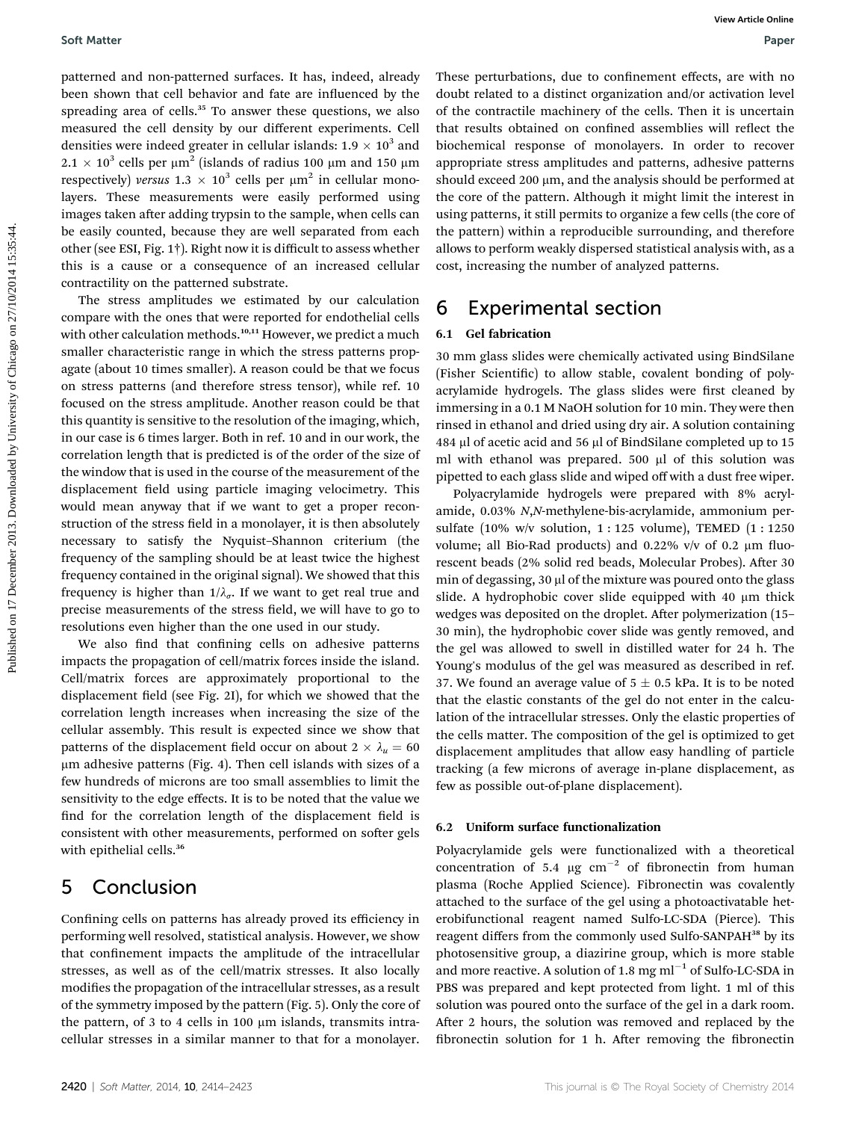patterned and non-patterned surfaces. It has, indeed, already been shown that cell behavior and fate are influenced by the spreading area of cells.<sup>35</sup> To answer these questions, we also measured the cell density by our different experiments. Cell densities were indeed greater in cellular islands:  $1.9 \times 10^3$  and  $2.1 \times 10^3$  cells per  $\mu$ m<sup>2</sup> (islands of radius 100  $\mu$ m and 150  $\mu$ m respectively) versus  $1.3 \times 10^3$  cells per  $\mu$ m<sup>2</sup> in cellular monolayers. These measurements were easily performed using images taken after adding trypsin to the sample, when cells can be easily counted, because they are well separated from each other (see ESI, Fig. 1†). Right now it is difficult to assess whether this is a cause or a consequence of an increased cellular contractility on the patterned substrate.

The stress amplitudes we estimated by our calculation compare with the ones that were reported for endothelial cells with other calculation methods.<sup>10,11</sup> However, we predict a much smaller characteristic range in which the stress patterns propagate (about 10 times smaller). A reason could be that we focus on stress patterns (and therefore stress tensor), while ref. 10 focused on the stress amplitude. Another reason could be that this quantity is sensitive to the resolution of the imaging, which, in our case is 6 times larger. Both in ref. 10 and in our work, the correlation length that is predicted is of the order of the size of the window that is used in the course of the measurement of the displacement field using particle imaging velocimetry. This would mean anyway that if we want to get a proper reconstruction of the stress field in a monolayer, it is then absolutely necessary to satisfy the Nyquist–Shannon criterium (the frequency of the sampling should be at least twice the highest frequency contained in the original signal). We showed that this frequency is higher than  $1/\lambda_{\sigma}$ . If we want to get real true and precise measurements of the stress field, we will have to go to resolutions even higher than the one used in our study. Soft Matter<br>
Dependent on the control with the control with the control of the control of the control of the control of the control of the control of the control of the control of the control of the control of the control

We also find that confining cells on adhesive patterns impacts the propagation of cell/matrix forces inside the island. Cell/matrix forces are approximately proportional to the displacement field (see Fig. 2I), for which we showed that the correlation length increases when increasing the size of the cellular assembly. This result is expected since we show that patterns of the displacement field occur on about  $2 \times \lambda_u = 60$ mm adhesive patterns (Fig. 4). Then cell islands with sizes of a few hundreds of microns are too small assemblies to limit the sensitivity to the edge effects. It is to be noted that the value we find for the correlation length of the displacement field is consistent with other measurements, performed on softer gels with epithelial cells.<sup>36</sup>

### 5 Conclusion

Confining cells on patterns has already proved its efficiency in performing well resolved, statistical analysis. However, we show that confinement impacts the amplitude of the intracellular stresses, as well as of the cell/matrix stresses. It also locally modifies the propagation of the intracellular stresses, as a result of the symmetry imposed by the pattern (Fig. 5). Only the core of the pattern, of 3 to 4 cells in 100  $\mu$ m islands, transmits intracellular stresses in a similar manner to that for a monolayer.

These perturbations, due to confinement effects, are with no doubt related to a distinct organization and/or activation level of the contractile machinery of the cells. Then it is uncertain that results obtained on confined assemblies will reflect the biochemical response of monolayers. In order to recover appropriate stress amplitudes and patterns, adhesive patterns should exceed 200  $\mu$ m, and the analysis should be performed at the core of the pattern. Although it might limit the interest in using patterns, it still permits to organize a few cells (the core of the pattern) within a reproducible surrounding, and therefore allows to perform weakly dispersed statistical analysis with, as a cost, increasing the number of analyzed patterns.

### 6 Experimental section

### 6.1 Gel fabrication

30 mm glass slides were chemically activated using BindSilane (Fisher Scientific) to allow stable, covalent bonding of polyacrylamide hydrogels. The glass slides were first cleaned by immersing in a 0.1 M NaOH solution for 10 min. They were then rinsed in ethanol and dried using dry air. A solution containing 484 ml of acetic acid and 56 ml of BindSilane completed up to 15 ml with ethanol was prepared.  $500 \mu l$  of this solution was pipetted to each glass slide and wiped off with a dust free wiper.

Polyacrylamide hydrogels were prepared with 8% acrylamide, 0.03% N,N-methylene-bis-acrylamide, ammonium persulfate (10% w/v solution, 1 : 125 volume), TEMED (1 : 1250 volume; all Bio-Rad products) and 0.22% v/v of 0.2  $\mu$ m fluorescent beads (2% solid red beads, Molecular Probes). After 30 min of degassing, 30 µl of the mixture was poured onto the glass slide. A hydrophobic cover slide equipped with 40  $\mu$ m thick wedges was deposited on the droplet. After polymerization (15– 30 min), the hydrophobic cover slide was gently removed, and the gel was allowed to swell in distilled water for 24 h. The Young's modulus of the gel was measured as described in ref. 37. We found an average value of  $5 \pm 0.5$  kPa. It is to be noted that the elastic constants of the gel do not enter in the calculation of the intracellular stresses. Only the elastic properties of the cells matter. The composition of the gel is optimized to get displacement amplitudes that allow easy handling of particle tracking (a few microns of average in-plane displacement, as few as possible out-of-plane displacement).

### 6.2 Uniform surface functionalization

Polyacrylamide gels were functionalized with a theoretical concentration of 5.4  $\mu$ g cm<sup>-2</sup> of fibronectin from human plasma (Roche Applied Science). Fibronectin was covalently attached to the surface of the gel using a photoactivatable heterobifunctional reagent named Sulfo-LC-SDA (Pierce). This reagent differs from the commonly used Sulfo-SANPAH<sup>38</sup> by its photosensitive group, a diazirine group, which is more stable and more reactive. A solution of 1.8  $mg$  ml $^{-1}$  of Sulfo-LC-SDA in PBS was prepared and kept protected from light. 1 ml of this solution was poured onto the surface of the gel in a dark room. After 2 hours, the solution was removed and replaced by the fibronectin solution for  $1$  h. After removing the fibronectin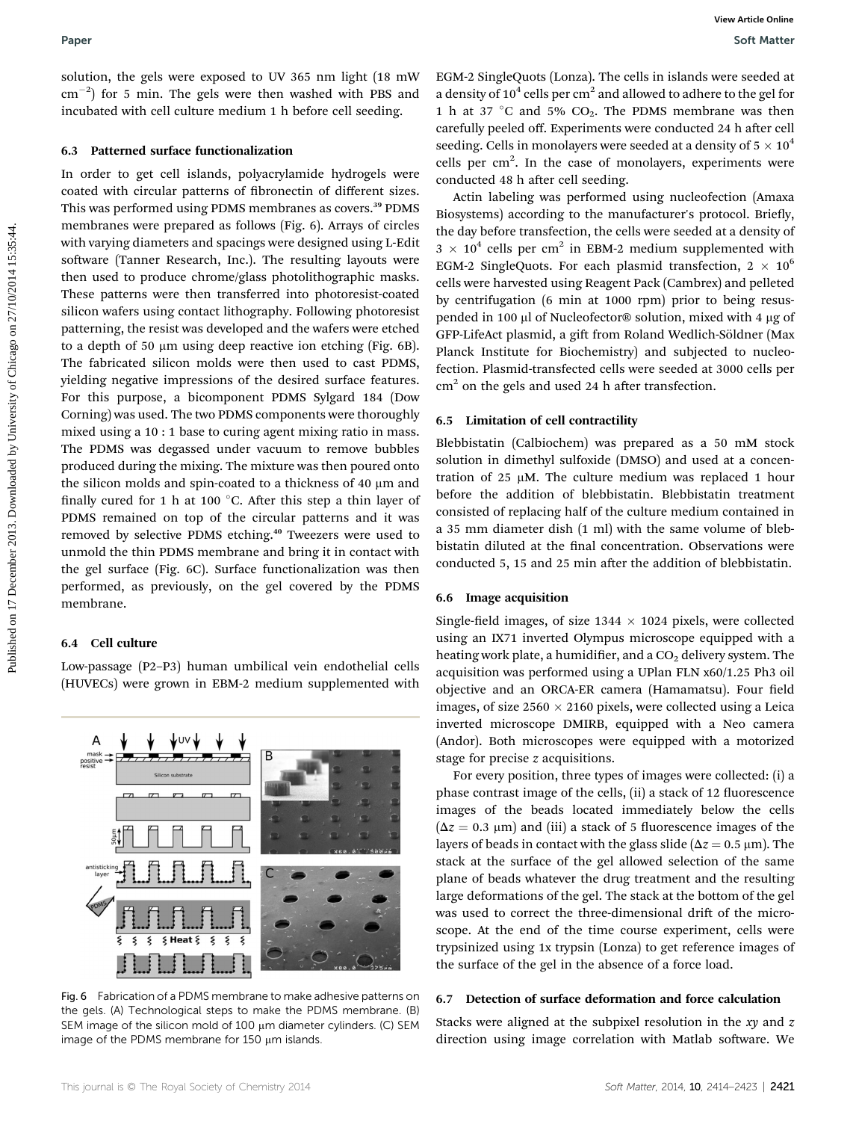solution, the gels were exposed to UV 365 nm light (18 mW  $\rm cm^{-2})$  for 5 min. The gels were then washed with PBS and incubated with cell culture medium 1 h before cell seeding.

#### 6.3 Patterned surface functionalization

In order to get cell islands, polyacrylamide hydrogels were coated with circular patterns of fibronectin of different sizes. This was performed using PDMS membranes as covers.<sup>39</sup> PDMS membranes were prepared as follows (Fig. 6). Arrays of circles with varying diameters and spacings were designed using L-Edit software (Tanner Research, Inc.). The resulting layouts were then used to produce chrome/glass photolithographic masks. These patterns were then transferred into photoresist-coated silicon wafers using contact lithography. Following photoresist patterning, the resist was developed and the wafers were etched to a depth of 50 µm using deep reactive ion etching (Fig. 6B). The fabricated silicon molds were then used to cast PDMS, yielding negative impressions of the desired surface features. For this purpose, a bicomponent PDMS Sylgard 184 (Dow Corning) was used. The two PDMS components were thoroughly mixed using a 10 : 1 base to curing agent mixing ratio in mass. The PDMS was degassed under vacuum to remove bubbles produced during the mixing. The mixture was then poured onto the silicon molds and spin-coated to a thickness of 40  $\mu$ m and finally cured for 1 h at 100  $^{\circ}$ C. After this step a thin layer of PDMS remained on top of the circular patterns and it was removed by selective PDMS etching.<sup>40</sup> Tweezers were used to unmold the thin PDMS membrane and bring it in contact with the gel surface (Fig. 6C). Surface functionalization was then performed, as previously, on the gel covered by the PDMS membrane. Poper<br>
Solution, the gala were exposed to UV 365 nm light (18 mW EGM-3 Singlet)ons (Long). The claim including to control on 17 December 2013. Downloaded and the sealing control on 27 December 2013. Determines the case of

### 6.4 Cell culture

Low-passage (P2–P3) human umbilical vein endothelial cells (HUVECs) were grown in EBM-2 medium supplemented with



image of the PDMS membrane for  $150 \mu m$  islands.

EGM-2 SingleQuots (Lonza). The cells in islands were seeded at a density of  $10^4$  cells per cm<sup>2</sup> and allowed to adhere to the gel for 1 h at 37 °C and 5%  $CO<sub>2</sub>$ . The PDMS membrane was then carefully peeled off. Experiments were conducted 24 h after cell seeding. Cells in monolayers were seeded at a density of  $5 \times 10^4$ cells per cm<sup>2</sup>. In the case of monolayers, experiments were conducted 48 h after cell seeding.

Actin labeling was performed using nucleofection (Amaxa Biosystems) according to the manufacturer's protocol. Briefly, the day before transfection, the cells were seeded at a density of  $3 \times 10^4$  cells per cm<sup>2</sup> in EBM-2 medium supplemented with EGM-2 SingleQuots. For each plasmid transfection,  $2 \times 10^6$ cells were harvested using Reagent Pack (Cambrex) and pelleted by centrifugation (6 min at 1000 rpm) prior to being resuspended in 100 µl of Nucleofector® solution, mixed with 4 µg of GFP-LifeAct plasmid, a gift from Roland Wedlich-Söldner (Max Planck Institute for Biochemistry) and subjected to nucleofection. Plasmid-transfected cells were seeded at 3000 cells per  $cm<sup>2</sup>$  on the gels and used 24 h after transfection.

#### 6.5 Limitation of cell contractility

Blebbistatin (Calbiochem) was prepared as a 50 mM stock solution in dimethyl sulfoxide (DMSO) and used at a concentration of  $25 \mu M$ . The culture medium was replaced 1 hour before the addition of blebbistatin. Blebbistatin treatment consisted of replacing half of the culture medium contained in a 35 mm diameter dish (1 ml) with the same volume of blebbistatin diluted at the final concentration. Observations were conducted 5, 15 and 25 min after the addition of blebbistatin.

#### 6.6 Image acquisition

Single-field images, of size  $1344 \times 1024$  pixels, were collected using an IX71 inverted Olympus microscope equipped with a heating work plate, a humidifier, and a  $CO<sub>2</sub>$  delivery system. The acquisition was performed using a UPlan FLN x60/1.25 Ph3 oil objective and an ORCA-ER camera (Hamamatsu). Four field images, of size  $2560 \times 2160$  pixels, were collected using a Leica inverted microscope DMIRB, equipped with a Neo camera (Andor). Both microscopes were equipped with a motorized stage for precise z acquisitions.

For every position, three types of images were collected: (i) a phase contrast image of the cells, (ii) a stack of 12 fluorescence images of the beads located immediately below the cells  $(\Delta z = 0.3 \mu m)$  and (iii) a stack of 5 fluorescence images of the layers of beads in contact with the glass slide ( $\Delta z = 0.5 \text{ }\mu\text{m}$ ). The stack at the surface of the gel allowed selection of the same plane of beads whatever the drug treatment and the resulting large deformations of the gel. The stack at the bottom of the gel was used to correct the three-dimensional drift of the microscope. At the end of the time course experiment, cells were trypsinized using 1x trypsin (Lonza) to get reference images of the surface of the gel in the absence of a force load.

### 6.7 Detection of surface deformation and force calculation

Stacks were aligned at the subpixel resolution in the  $xy$  and  $z$ direction using image correlation with Matlab software. We



Fig. 6 Fabrication of a PDMS membrane to make adhesive patterns on the gels. (A) Technological steps to make the PDMS membrane. (B) SEM image of the silicon mold of 100 µm diameter cylinders. (C) SEM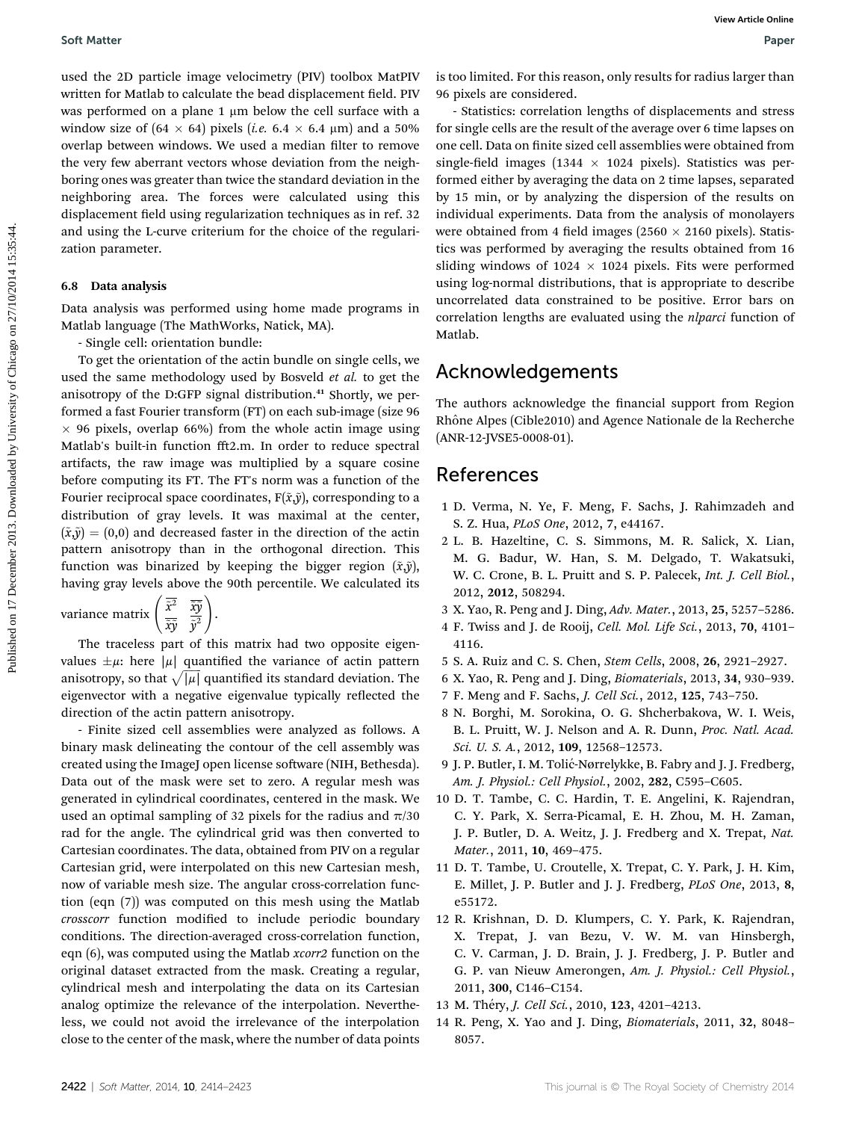used the 2D particle image velocimetry (PIV) toolbox MatPIV written for Matlab to calculate the bead displacement field. PIV was performed on a plane  $1 \mu m$  below the cell surface with a window size of  $(64 \times 64)$  pixels (*i.e.* 6.4  $\times$  6.4  $\mu$ m) and a 50% overlap between windows. We used a median filter to remove the very few aberrant vectors whose deviation from the neighboring ones was greater than twice the standard deviation in the neighboring area. The forces were calculated using this displacement field using regularization techniques as in ref. 32 and using the L-curve criterium for the choice of the regularization parameter.

### 6.8 Data analysis

Data analysis was performed using home made programs in Matlab language (The MathWorks, Natick, MA).

- Single cell: orientation bundle:

To get the orientation of the actin bundle on single cells, we used the same methodology used by Bosveld et al. to get the anisotropy of the D:GFP signal distribution.<sup>41</sup> Shortly, we performed a fast Fourier transform (FT) on each sub-image (size 96  $\times$  96 pixels, overlap 66%) from the whole actin image using Matlab's built-in function fft2.m. In order to reduce spectral artifacts, the raw image was multiplied by a square cosine before computing its FT. The FT's norm was a function of the Fourier reciprocal space coordinates,  $F(\tilde{x}, \tilde{y})$ , corresponding to a distribution of gray levels. It was maximal at the center,  $({\tilde{x}, \tilde{y}}) = (0,0)$  and decreased faster in the direction of the actin pattern anisotropy than in the orthogonal direction. This function was binarized by keeping the bigger region  $(\tilde{x}, \tilde{y})$ , having gray levels above the 90th percentile. We calculated its Soft Matter<br>
used the 2D particle image velocitates (PW) coolbox Matt<sup>y</sup>) is too limited. For this transp, con) revails for radius larger than<br>
when the radius in collection and the coordinate on the first intervention an

variance matrix  $\begin{pmatrix} \tilde{x}^2 & \frac{\overline{\tilde{x}}\tilde{y}}{\tilde{y}^2} \end{pmatrix}$  $\sqrt{\overline{x^2}}$   $\overline{x\overline{y}}$ .

The traceless part of this matrix had two opposite eigenvalues  $\pm \mu$ : here  $|\mu|$  quantified the variance of actin pattern anisotropy, so that  $\sqrt{|\mu|}$  quantified its standard deviation. The eigenvector with a negative eigenvalue typically reflected the direction of the actin pattern anisotropy.

- Finite sized cell assemblies were analyzed as follows. A binary mask delineating the contour of the cell assembly was created using the ImageJ open license software (NIH, Bethesda). Data out of the mask were set to zero. A regular mesh was generated in cylindrical coordinates, centered in the mask. We used an optimal sampling of 32 pixels for the radius and  $\pi/30$ rad for the angle. The cylindrical grid was then converted to Cartesian coordinates. The data, obtained from PIV on a regular Cartesian grid, were interpolated on this new Cartesian mesh, now of variable mesh size. The angular cross-correlation function (eqn (7)) was computed on this mesh using the Matlab crosscorr function modified to include periodic boundary conditions. The direction-averaged cross-correlation function, eqn (6), was computed using the Matlab xcorr2 function on the original dataset extracted from the mask. Creating a regular, cylindrical mesh and interpolating the data on its Cartesian analog optimize the relevance of the interpolation. Nevertheless, we could not avoid the irrelevance of the interpolation close to the center of the mask, where the number of data points

is too limited. For this reason, only results for radius larger than 96 pixels are considered.

- Statistics: correlation lengths of displacements and stress for single cells are the result of the average over 6 time lapses on one cell. Data on finite sized cell assemblies were obtained from single-field images (1344  $\times$  1024 pixels). Statistics was performed either by averaging the data on 2 time lapses, separated by 15 min, or by analyzing the dispersion of the results on individual experiments. Data from the analysis of monolayers were obtained from 4 field images ( $2560 \times 2160$  pixels). Statistics was performed by averaging the results obtained from 16 sliding windows of  $1024 \times 1024$  pixels. Fits were performed using log-normal distributions, that is appropriate to describe uncorrelated data constrained to be positive. Error bars on correlation lengths are evaluated using the nlparci function of Matlab.

### Acknowledgements

The authors acknowledge the financial support from Region Rhône Alpes (Cible2010) and Agence Nationale de la Recherche (ANR-12-JVSE5-0008-01).

### References

- 1 D. Verma, N. Ye, F. Meng, F. Sachs, J. Rahimzadeh and S. Z. Hua, PLoS One, 2012, 7, e44167.
- 2 L. B. Hazeltine, C. S. Simmons, M. R. Salick, X. Lian, M. G. Badur, W. Han, S. M. Delgado, T. Wakatsuki, W. C. Crone, B. L. Pruitt and S. P. Palecek, Int. J. Cell Biol., 2012, 2012, 508294.
- 3 X. Yao, R. Peng and J. Ding, Adv. Mater., 2013, 25, 5257–5286.
- 4 F. Twiss and J. de Rooij, Cell. Mol. Life Sci., 2013, 70, 4101– 4116.
- 5 S. A. Ruiz and C. S. Chen, Stem Cells, 2008, 26, 2921–2927.
- 6 X. Yao, R. Peng and J. Ding, Biomaterials, 2013, 34, 930–939.
- 7 F. Meng and F. Sachs, J. Cell Sci., 2012, 125, 743–750.
- 8 N. Borghi, M. Sorokina, O. G. Shcherbakova, W. I. Weis, B. L. Pruitt, W. J. Nelson and A. R. Dunn, Proc. Natl. Acad. Sci. U. S. A., 2012, 109, 12568–12573.
- 9 J. P. Butler, I. M. Tolić-Nørrelykke, B. Fabry and J. J. Fredberg, Am. J. Physiol.: Cell Physiol., 2002, 282, C595–C605.
- 10 D. T. Tambe, C. C. Hardin, T. E. Angelini, K. Rajendran, C. Y. Park, X. Serra-Picamal, E. H. Zhou, M. H. Zaman, J. P. Butler, D. A. Weitz, J. J. Fredberg and X. Trepat, Nat. Mater., 2011, 10, 469–475.
- 11 D. T. Tambe, U. Croutelle, X. Trepat, C. Y. Park, J. H. Kim, E. Millet, J. P. Butler and J. J. Fredberg, PLoS One, 2013, 8, e55172.
- 12 R. Krishnan, D. D. Klumpers, C. Y. Park, K. Rajendran, X. Trepat, J. van Bezu, V. W. M. van Hinsbergh, C. V. Carman, J. D. Brain, J. J. Fredberg, J. P. Butler and G. P. van Nieuw Amerongen, Am. J. Physiol.: Cell Physiol., 2011, 300, C146–C154.
- 13 M. Théry, J. Cell Sci., 2010, 123, 4201-4213.
- 14 R. Peng, X. Yao and J. Ding, Biomaterials, 2011, 32, 8048– 8057.